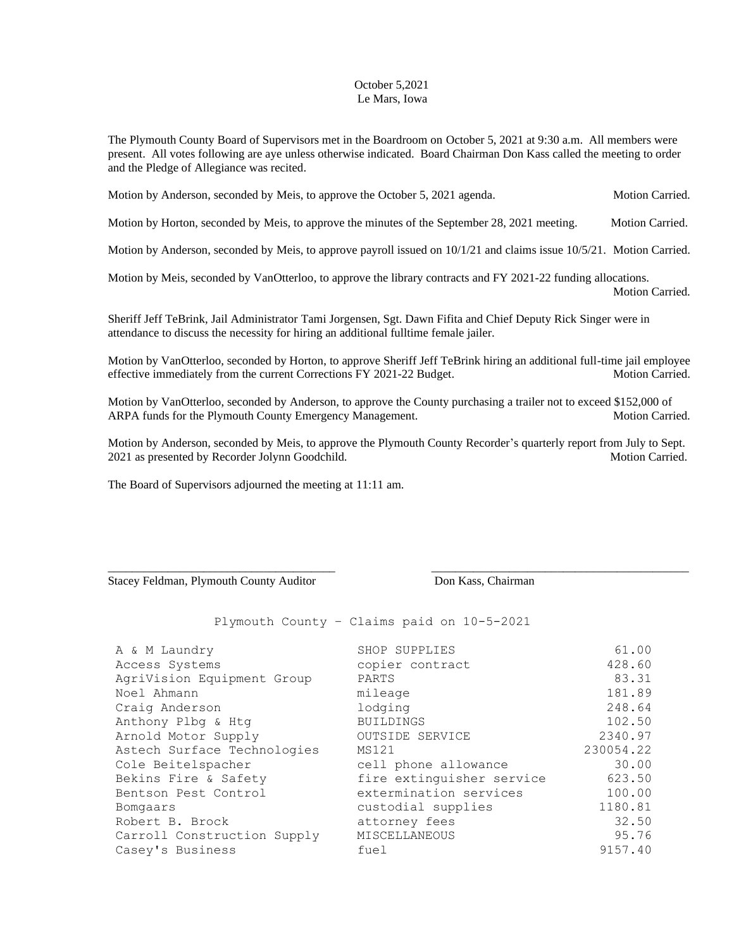## October 5,2021 Le Mars, Iowa

The Plymouth County Board of Supervisors met in the Boardroom on October 5, 2021 at 9:30 a.m. All members were present. All votes following are aye unless otherwise indicated. Board Chairman Don Kass called the meeting to order and the Pledge of Allegiance was recited.

Motion by Anderson, seconded by Meis, to approve the October 5, 2021 agenda. Motion Carried.

Motion by Horton, seconded by Meis, to approve the minutes of the September 28, 2021 meeting. Motion Carried.

Motion by Anderson, seconded by Meis, to approve payroll issued on  $10/1/21$  and claims issue  $10/5/21$ . Motion Carried.

Motion by Meis, seconded by VanOtterloo, to approve the library contracts and FY 2021-22 funding allocations. Motion Carried.

Sheriff Jeff TeBrink, Jail Administrator Tami Jorgensen, Sgt. Dawn Fifita and Chief Deputy Rick Singer were in attendance to discuss the necessity for hiring an additional fulltime female jailer.

Motion by VanOtterloo, seconded by Horton, to approve Sheriff Jeff TeBrink hiring an additional full-time jail employee effective immediately from the current Corrections FY 2021-22 Budget. Motion Carried.

Motion by VanOtterloo, seconded by Anderson, to approve the County purchasing a trailer not to exceed \$152,000 of ARPA funds for the Plymouth County Emergency Management. Motion Carried. Motion Carried.

Motion by Anderson, seconded by Meis, to approve the Plymouth County Recorder's quarterly report from July to Sept. 2021 as presented by Recorder Jolynn Goodchild. Motion Carried. Motion Carried.

\_\_\_\_\_\_\_\_\_\_\_\_\_\_\_\_\_\_\_\_\_\_\_\_\_\_\_\_\_\_\_\_\_\_\_\_\_\_ \_\_\_\_\_\_\_\_\_\_\_\_\_\_\_\_\_\_\_\_\_\_\_\_\_\_\_\_\_\_\_\_\_\_\_\_\_\_\_\_\_\_\_

The Board of Supervisors adjourned the meeting at 11:11 am.

Stacey Feldman, Plymouth County Auditor Don Kass, Chairman

Plymouth County – Claims paid on 10-5-2021

| A & M Laundry               | SHOP SUPPLIES             | 61.00     |
|-----------------------------|---------------------------|-----------|
| Access Systems              | copier contract           | 428.60    |
| AgriVision Equipment Group  | PARTS                     | 83.31     |
| Noel Ahmann                 | mileage                   | 181.89    |
| Craig Anderson              | lodging                   | 248.64    |
| Anthony Plbg & Htg          | <b>BUILDINGS</b>          | 102.50    |
| Arnold Motor Supply         | OUTSIDE SERVICE           | 2340.97   |
| Astech Surface Technologies | MS121                     | 230054.22 |
| Cole Beitelspacher          | cell phone allowance      | 30.00     |
| Bekins Fire & Safety        | fire extinguisher service | 623.50    |
| Bentson Pest Control        | extermination services    | 100.00    |
| Bomgaars                    | custodial supplies        | 1180.81   |
| Robert B. Brock             | attorney fees             | 32.50     |
| Carroll Construction Supply | <b>MISCELLANEOUS</b>      | 95.76     |
| Casey's Business            | fuel                      | 9157.40   |
|                             |                           |           |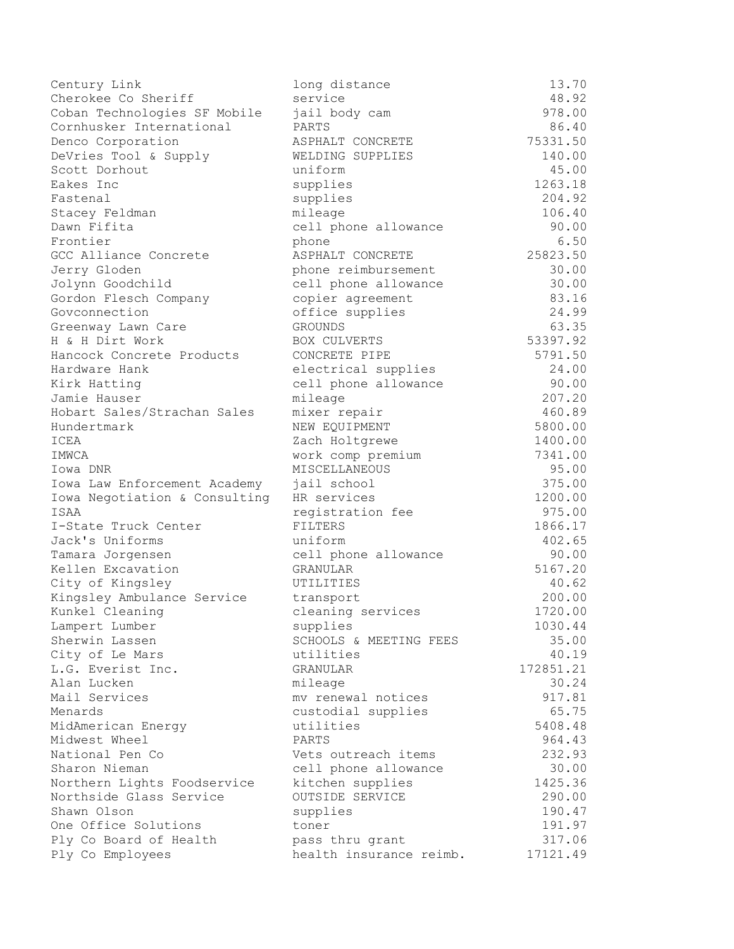| Century Link                  | long distance           | 13.70     |
|-------------------------------|-------------------------|-----------|
| Cherokee Co Sheriff           | service                 | 48.92     |
| Coban Technologies SF Mobile  | jail body cam           | 978.00    |
| Cornhusker International      | PARTS                   | 86.40     |
| Denco Corporation             | ASPHALT CONCRETE        | 75331.50  |
| DeVries Tool & Supply         | WELDING SUPPLIES        | 140.00    |
| Scott Dorhout                 | uniform                 | 45.00     |
| Eakes Inc                     | supplies                | 1263.18   |
| Fastenal                      | supplies                | 204.92    |
| Stacey Feldman                | mileage                 | 106.40    |
| Dawn Fifita                   | cell phone allowance    | 90.00     |
| Frontier                      | phone                   | 6.50      |
| GCC Alliance Concrete         | ASPHALT CONCRETE        | 25823.50  |
| Jerry Gloden                  | phone reimbursement     | 30.00     |
| Jolynn Goodchild              | cell phone allowance    | 30.00     |
| Gordon Flesch Company         | copier agreement        | 83.16     |
| Govconnection                 | office supplies         | 24.99     |
| Greenway Lawn Care            | <b>GROUNDS</b>          | 63.35     |
| H & H Dirt Work               | <b>BOX CULVERTS</b>     | 53397.92  |
| Hancock Concrete Products     | CONCRETE PIPE           | 5791.50   |
| Hardware Hank                 | electrical supplies     | 24.00     |
| Kirk Hatting                  | cell phone allowance    | 90.00     |
| Jamie Hauser                  | mileage                 | 207.20    |
| Hobart Sales/Strachan Sales   | mixer repair            | 460.89    |
| Hundertmark                   | NEW EQUIPMENT           | 5800.00   |
| ICEA                          | Zach Holtgrewe          | 1400.00   |
| IMWCA                         | work comp premium       | 7341.00   |
| Iowa DNR                      | MISCELLANEOUS           | 95.00     |
| Iowa Law Enforcement Academy  | jail school             | 375.00    |
| Iowa Negotiation & Consulting | HR services             | 1200.00   |
| ISAA                          | registration fee        | 975.00    |
| I-State Truck Center          | FILTERS                 | 1866.17   |
| Jack's Uniforms               | uniform                 | 402.65    |
| Tamara Jorgensen              | cell phone allowance    | 90.00     |
| Kellen Excavation             | GRANULAR                | 5167.20   |
| City of Kingsley              | UTILITIES               | 40.62     |
| Kingsley Ambulance Service    | transport               | 200.00    |
| Kunkel Cleaning               | cleaning services       | 1720.00   |
| Lampert Lumber                | supplies                | 1030.44   |
| Sherwin Lassen                | SCHOOLS & MEETING FEES  | 35.00     |
| City of Le Mars               | utilities               | 40.19     |
| L.G. Everist Inc.             | GRANULAR                | 172851.21 |
| Alan Lucken                   | mileage                 | 30.24     |
| Mail Services                 | mv renewal notices      | 917.81    |
| Menards                       | custodial supplies      | 65.75     |
| MidAmerican Energy            | utilities               | 5408.48   |
| Midwest Wheel                 | PARTS                   | 964.43    |
| National Pen Co               | Vets outreach items     | 232.93    |
| Sharon Nieman                 | cell phone allowance    | 30.00     |
| Northern Lights Foodservice   | kitchen supplies        | 1425.36   |
| Northside Glass Service       | OUTSIDE SERVICE         | 290.00    |
| Shawn Olson                   | supplies                | 190.47    |
| One Office Solutions          | toner                   | 191.97    |
| Ply Co Board of Health        | pass thru grant         | 317.06    |
| Ply Co Employees              | health insurance reimb. | 17121.49  |